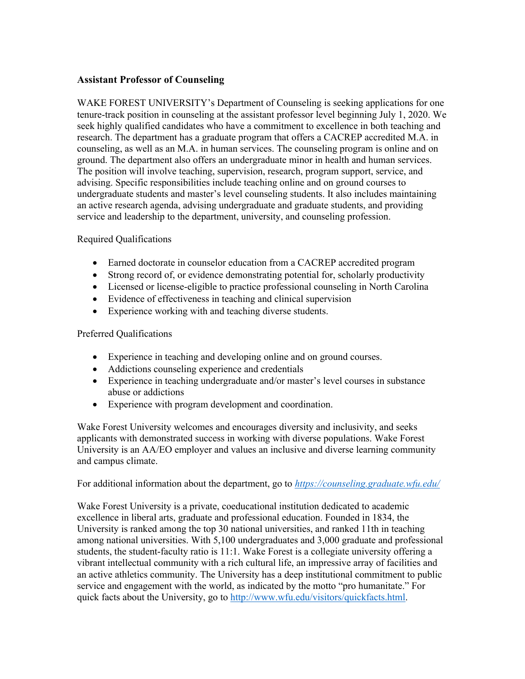## **Assistant Professor of Counseling**

WAKE FOREST UNIVERSITY's Department of Counseling is seeking applications for one tenure-track position in counseling at the assistant professor level beginning July 1, 2020. We seek highly qualified candidates who have a commitment to excellence in both teaching and research. The department has a graduate program that offers a CACREP accredited M.A. in counseling, as well as an M.A. in human services. The counseling program is online and on ground. The department also offers an undergraduate minor in health and human services. The position will involve teaching, supervision, research, program support, service, and advising. Specific responsibilities include teaching online and on ground courses to undergraduate students and master's level counseling students. It also includes maintaining an active research agenda, advising undergraduate and graduate students, and providing service and leadership to the department, university, and counseling profession.

## Required Qualifications

- Earned doctorate in counselor education from a CACREP accredited program
- Strong record of, or evidence demonstrating potential for, scholarly productivity
- Licensed or license-eligible to practice professional counseling in North Carolina
- Evidence of effectiveness in teaching and clinical supervision
- Experience working with and teaching diverse students.

## Preferred Qualifications

- Experience in teaching and developing online and on ground courses.
- Addictions counseling experience and credentials
- Experience in teaching undergraduate and/or master's level courses in substance abuse or addictions
- Experience with program development and coordination.

Wake Forest University welcomes and encourages diversity and inclusivity, and seeks applicants with demonstrated success in working with diverse populations. Wake Forest University is an AA/EO employer and values an inclusive and diverse learning community and campus climate.

For additional information about the department, go to *https://counseling.graduate.wfu.edu/*

Wake Forest University is a private, coeducational institution dedicated to academic excellence in liberal arts, graduate and professional education. Founded in 1834, the University is ranked among the top 30 national universities, and ranked 11th in teaching among national universities. With 5,100 undergraduates and 3,000 graduate and professional students, the student-faculty ratio is 11:1. Wake Forest is a collegiate university offering a vibrant intellectual community with a rich cultural life, an impressive array of facilities and an active athletics community. The University has a deep institutional commitment to public service and engagement with the world, as indicated by the motto "pro humanitate." For quick facts about the University, go to http://www.wfu.edu/visitors/quickfacts.html.